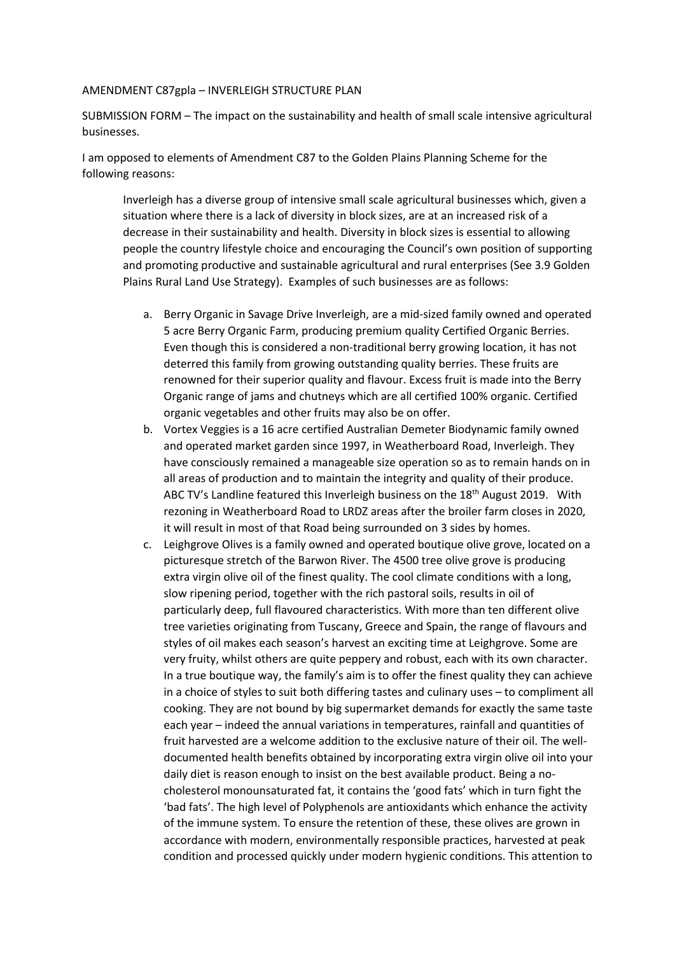## AMENDMENT C87gpla – INVERLEIGH STRUCTURE PLAN

SUBMISSION FORM – The impact on the sustainability and health of small scale intensive agricultural businesses.

I am opposed to elements of Amendment C87 to the Golden Plains Planning Scheme for the following reasons:

Inverleigh has a diverse group of intensive small scale agricultural businesses which, given a situation where there is a lack of diversity in block sizes, are at an increased risk of a decrease in their sustainability and health. Diversity in block sizes is essential to allowing people the country lifestyle choice and encouraging the Council's own position of supporting and promoting productive and sustainable agricultural and rural enterprises (See 3.9 Golden Plains Rural Land Use Strategy). Examples of such businesses are as follows:

- a. Berry Organic in Savage Drive Inverleigh, are a mid-sized family owned and operated 5 acre Berry Organic Farm, producing premium quality Certified Organic Berries. Even though this is considered a non-traditional berry growing location, it has not deterred this family from growing outstanding quality berries. These fruits are renowned for their superior quality and flavour. Excess fruit is made into the Berry Organic range of jams and chutneys which are all certified 100% organic. Certified organic vegetables and other fruits may also be on offer.
- b. Vortex Veggies is a 16 acre certified Australian Demeter Biodynamic family owned and operated market garden since 1997, in Weatherboard Road, Inverleigh. They have consciously remained a manageable size operation so as to remain hands on in all areas of production and to maintain the integrity and quality of their produce. ABC TV's Landline featured this Inverleigh business on the 18<sup>th</sup> August 2019. With rezoning in Weatherboard Road to LRDZ areas after the broiler farm closes in 2020, it will result in most of that Road being surrounded on 3 sides by homes.
- c. Leighgrove Olives is a family owned and operated boutique olive grove, located on a picturesque stretch of the Barwon River. The 4500 tree olive grove is producing extra virgin olive oil of the finest quality. The cool climate conditions with a long. slow ripening period, together with the rich pastoral soils, results in oil of particularly deep, full flavoured characteristics. With more than ten different olive tree varieties originating from Tuscany, Greece and Spain, the range of flavours and styles of oil makes each season's harvest an exciting time at Leighgrove. Some are very fruity, whilst others are quite peppery and robust, each with its own character. In a true boutique way, the family's aim is to offer the finest quality they can achieve in a choice of styles to suit both differing tastes and culinary uses – to compliment all cooking. They are not bound by big supermarket demands for exactly the same taste each year – indeed the annual variations in temperatures, rainfall and quantities of fruit harvested are a welcome addition to the exclusive nature of their oil. The welldocumented health benefits obtained by incorporating extra virgin olive oil into your daily diet is reason enough to insist on the best available product. Being a nocholesterol monounsaturated fat, it contains the 'good fats' which in turn fight the 'bad fats'. The high level of Polyphenols are antioxidants which enhance the activity of the immune system. To ensure the retention of these, these olives are grown in accordance with modern, environmentally responsible practices, harvested at peak condition and processed quickly under modern hygienic conditions. This attention to